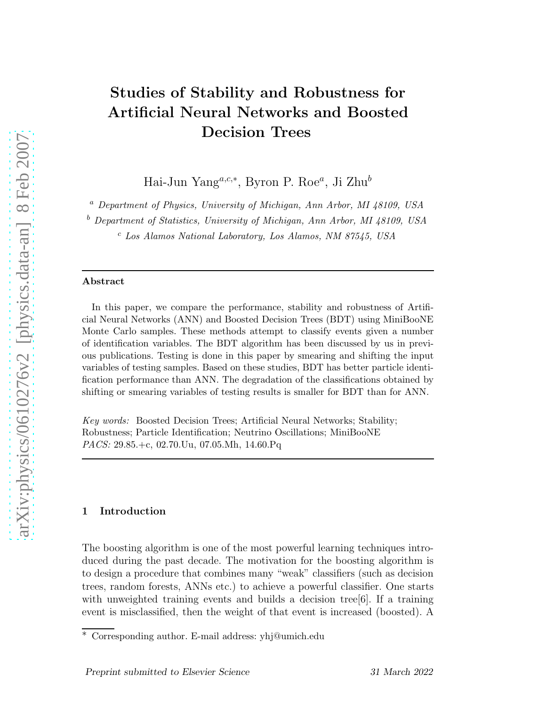# Studies of Stability and Robustness for Artificial Neural Networks and Boosted Decision Trees

Hai-Jun Yang<sup>a,c,\*</sup>, Byron P. Roe<sup>a</sup>, Ji Zhu<sup>b</sup>

<sup>a</sup> *Department of Physics, University of Michigan, Ann Arbor, MI 48109, USA*

<sup>b</sup> *Department of Statistics, University of Michigan, Ann Arbor, MI 48109, USA*

<sup>c</sup> *Los Alamos National Laboratory, Los Alamos, NM 87545, USA*

#### Abstract

In this paper, we compare the performance, stability and robustness of Artificial Neural Networks (ANN) and Boosted Decision Trees (BDT) using MiniBooNE Monte Carlo samples. These methods attempt to classify events given a number of identification variables. The BDT algorithm has been discussed by us in previous publications. Testing is done in this paper by smearing and shifting the input variables of testing samples. Based on these studies, BDT has better particle identification performance than ANN. The degradation of the classifications obtained by shifting or smearing variables of testing results is smaller for BDT than for ANN.

*Key words:* Boosted Decision Trees; Artificial Neural Networks; Stability; Robustness; Particle Identification; Neutrino Oscillations; MiniBooNE *PACS:* 29.85.+c, 02.70.Uu, 07.05.Mh, 14.60.Pq

# 1 Introduction

The boosting algorithm is one of the most powerful learning techniques introduced during the past decade. The motivation for the boosting algorithm is to design a procedure that combines many "weak" classifiers (such as decision trees, random forests, ANNs etc.) to achieve a powerful classifier. One starts with unweighted training events and builds a decision tree  $[6]$ . If a training event is misclassified, then the weight of that event is increased (boosted). A

<sup>∗</sup> Corresponding author. E-mail address: yhj@umich.edu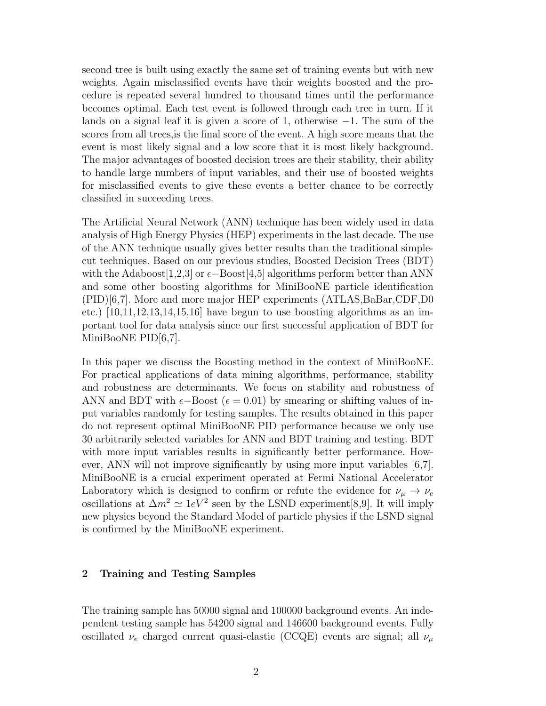second tree is built using exactly the same set of training events but with new weights. Again misclassified events have their weights boosted and the procedure is repeated several hundred to thousand times until the performance becomes optimal. Each test event is followed through each tree in turn. If it lands on a signal leaf it is given a score of 1, otherwise −1. The sum of the scores from all trees,is the final score of the event. A high score means that the event is most likely signal and a low score that it is most likely background. The major advantages of boosted decision trees are their stability, their ability to handle large numbers of input variables, and their use of boosted weights for misclassified events to give these events a better chance to be correctly classified in succeeding trees.

The Artificial Neural Network (ANN) technique has been widely used in data analysis of High Energy Physics (HEP) experiments in the last decade. The use of the ANN technique usually gives better results than the traditional simplecut techniques. Based on our previous studies, Boosted Decision Trees (BDT) with the Adaboost[1,2,3] or  $\epsilon$ −Boost[4,5] algorithms perform better than ANN and some other boosting algorithms for MiniBooNE particle identification (PID)[6,7]. More and more major HEP experiments (ATLAS,BaBar,CDF,D0 etc.)  $[10,11,12,13,14,15,16]$  have begun to use boosting algorithms as an important tool for data analysis since our first successful application of BDT for MiniBooNE PID[6,7].

In this paper we discuss the Boosting method in the context of MiniBooNE. For practical applications of data mining algorithms, performance, stability and robustness are determinants. We focus on stability and robustness of ANN and BDT with  $\epsilon$ −Boost ( $\epsilon$  = 0.01) by smearing or shifting values of input variables randomly for testing samples. The results obtained in this paper do not represent optimal MiniBooNE PID performance because we only use 30 arbitrarily selected variables for ANN and BDT training and testing. BDT with more input variables results in significantly better performance. However, ANN will not improve significantly by using more input variables [6,7]. MiniBooNE is a crucial experiment operated at Fermi National Accelerator Laboratory which is designed to confirm or refute the evidence for  $\nu_{\mu} \rightarrow \nu_{e}$ oscillations at  $\Delta m^2 \simeq 1 eV^2$  seen by the LSND experiment[8,9]. It will imply new physics beyond the Standard Model of particle physics if the LSND signal is confirmed by the MiniBooNE experiment.

## 2 Training and Testing Samples

The training sample has 50000 signal and 100000 background events. An independent testing sample has 54200 signal and 146600 background events. Fully oscillated  $\nu_e$  charged current quasi-elastic (CCQE) events are signal; all  $\nu_\mu$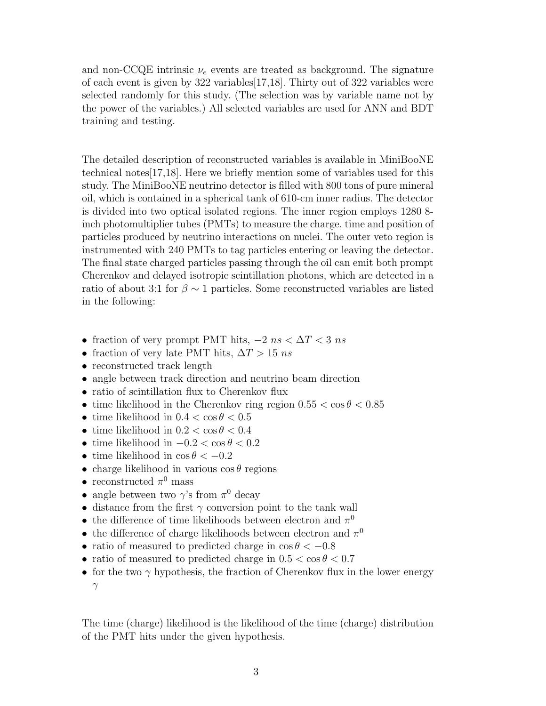and non-CCQE intrinsic  $\nu_e$  events are treated as background. The signature of each event is given by 322 variables[17,18]. Thirty out of 322 variables were selected randomly for this study. (The selection was by variable name not by the power of the variables.) All selected variables are used for ANN and BDT training and testing.

The detailed description of reconstructed variables is available in MiniBooNE technical notes[17,18]. Here we briefly mention some of variables used for this study. The MiniBooNE neutrino detector is filled with 800 tons of pure mineral oil, which is contained in a spherical tank of 610-cm inner radius. The detector is divided into two optical isolated regions. The inner region employs 1280 8 inch photomultiplier tubes (PMTs) to measure the charge, time and position of particles produced by neutrino interactions on nuclei. The outer veto region is instrumented with 240 PMTs to tag particles entering or leaving the detector. The final state charged particles passing through the oil can emit both prompt Cherenkov and delayed isotropic scintillation photons, which are detected in a ratio of about 3:1 for  $\beta \sim 1$  particles. Some reconstructed variables are listed in the following:

- fraction of very prompt PMT hits,  $-2$  ns  $\langle \Delta T \rangle$  as
- fraction of very late PMT hits,  $\Delta T > 15$  ns
- reconstructed track length
- angle between track direction and neutrino beam direction
- ratio of scintillation flux to Cherenkov flux
- time likelihood in the Cherenkov ring region  $0.55 < \cos \theta < 0.85$
- time likelihood in  $0.4 < \cos \theta < 0.5$
- time likelihood in  $0.2 < \cos \theta < 0.4$
- time likelihood in  $-0.2 < \cos \theta < 0.2$
- time likelihood in  $\cos \theta < -0.2$
- charge likelihood in various  $\cos \theta$  regions
- $\bullet\,$  reconstructed  $\pi^0$  mass
- angle between two  $\gamma$ 's from  $\pi^0$  decay
- distance from the first  $\gamma$  conversion point to the tank wall
- $\bullet\,$  the difference of time likelihoods between electron and  $\pi^0$
- $\bullet\,$  the difference of charge likelihoods between electron and  $\pi^0$
- ratio of measured to predicted charge in  $\cos \theta < -0.8$
- ratio of measured to predicted charge in  $0.5 < \cos \theta < 0.7$
- for the two  $\gamma$  hypothesis, the fraction of Cherenkov flux in the lower energy  $\gamma$

The time (charge) likelihood is the likelihood of the time (charge) distribution of the PMT hits under the given hypothesis.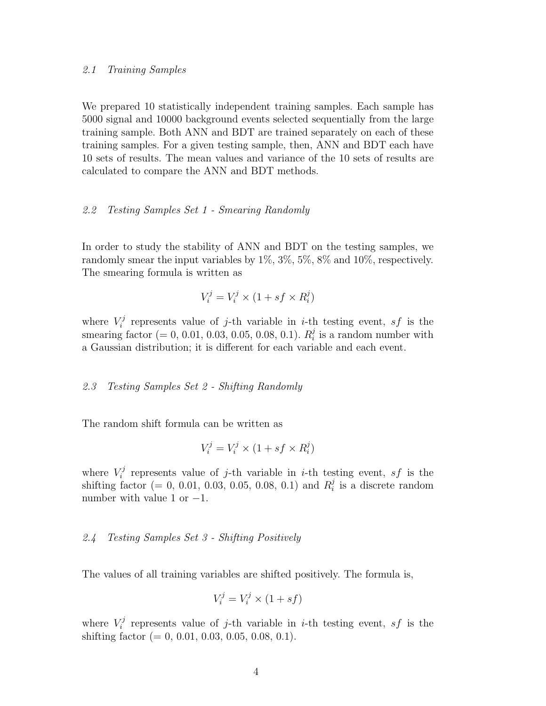#### 2.1 Training Samples

We prepared 10 statistically independent training samples. Each sample has 5000 signal and 10000 background events selected sequentially from the large training sample. Both ANN and BDT are trained separately on each of these training samples. For a given testing sample, then, ANN and BDT each have 10 sets of results. The mean values and variance of the 10 sets of results are calculated to compare the ANN and BDT methods.

## 2.2 Testing Samples Set 1 - Smearing Randomly

In order to study the stability of ANN and BDT on the testing samples, we randomly smear the input variables by  $1\%, 3\%, 5\%, 8\%$  and  $10\%$ , respectively. The smearing formula is written as

$$
V_i^j = V_i^j \times (1 + sf \times R_i^j)
$$

where  $V_i^j$ <sup>r</sup> represents value of j-th variable in *i*-th testing event, *sf* is the smearing factor  $(= 0, 0.01, 0.03, 0.05, 0.08, 0.1)$ .  $R_i^j$  $i$  is a random number with a Gaussian distribution; it is different for each variable and each event.

## 2.3 Testing Samples Set 2 - Shifting Randomly

The random shift formula can be written as

$$
V_i^j = V_i^j \times (1 + sf \times R_i^j)
$$

where  $V_i^j$ <sup>r</sup> represents value of j-th variable in *i*-th testing event, *sf* is the shifting factor (= 0, 0.01, 0.03, 0.05, 0.08, 0.1) and  $R_i^j$  $i$  is a discrete random number with value 1 or  $-1$ .

# 2.4 Testing Samples Set 3 - Shifting Positively

The values of all training variables are shifted positively. The formula is,

$$
V_i^j = V_i^j \times (1 + sf)
$$

where  $V_i^j$ <sup>r</sup> represents value of j-th variable in *i*-th testing event, *sf* is the shifting factor  $(= 0, 0.01, 0.03, 0.05, 0.08, 0.1)$ .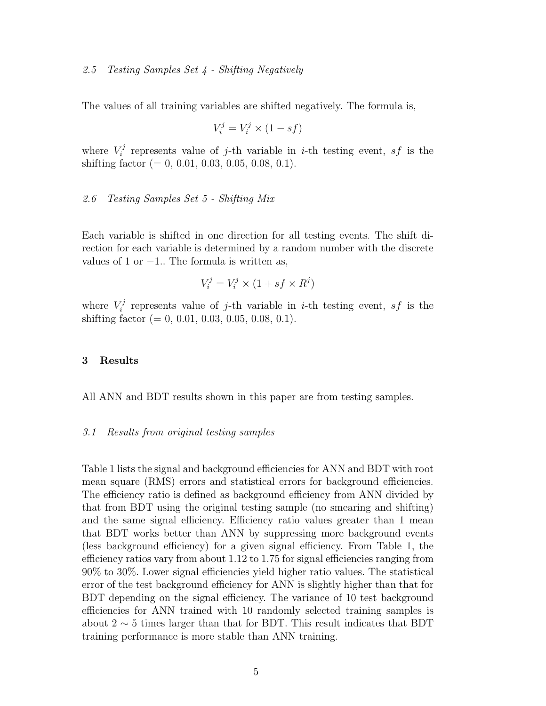### 2.5 Testing Samples Set 4 - Shifting Negatively

The values of all training variables are shifted negatively. The formula is,

$$
V_i^j = V_i^j \times (1 - sf)
$$

where  $V_i^j$ <sup>r</sup> represents value of j-th variable in *i*-th testing event, *sf* is the shifting factor  $(= 0, 0.01, 0.03, 0.05, 0.08, 0.1).$ 

#### 2.6 Testing Samples Set 5 - Shifting Mix

Each variable is shifted in one direction for all testing events. The shift direction for each variable is determined by a random number with the discrete values of 1 or  $-1$ . The formula is written as,

$$
V_i^j = V_i^j \times (1 + sf \times R^j)
$$

where  $V_i^j$ <sup>r</sup> represents value of j-th variable in *i*-th testing event, *sf* is the shifting factor  $(= 0, 0.01, 0.03, 0.05, 0.08, 0.1)$ .

### 3 Results

All ANN and BDT results shown in this paper are from testing samples.

## 3.1 Results from original testing samples

Table 1 lists the signal and background efficiencies for ANN and BDT with root mean square (RMS) errors and statistical errors for background efficiencies. The efficiency ratio is defined as background efficiency from ANN divided by that from BDT using the original testing sample (no smearing and shifting) and the same signal efficiency. Efficiency ratio values greater than 1 mean that BDT works better than ANN by suppressing more background events (less background efficiency) for a given signal efficiency. From Table 1, the efficiency ratios vary from about 1.12 to 1.75 for signal efficiencies ranging from 90% to 30%. Lower signal efficiencies yield higher ratio values. The statistical error of the test background efficiency for ANN is slightly higher than that for BDT depending on the signal efficiency. The variance of 10 test background efficiencies for ANN trained with 10 randomly selected training samples is about 2  $\sim$  5 times larger than that for BDT. This result indicates that BDT training performance is more stable than ANN training.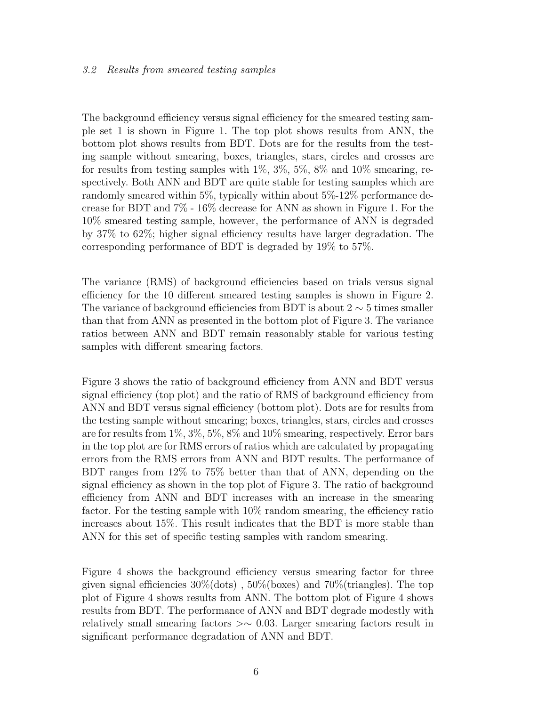## 3.2 Results from smeared testing samples

The background efficiency versus signal efficiency for the smeared testing sample set 1 is shown in Figure 1. The top plot shows results from ANN, the bottom plot shows results from BDT. Dots are for the results from the testing sample without smearing, boxes, triangles, stars, circles and crosses are for results from testing samples with  $1\%, 3\%, 5\%, 8\%$  and  $10\%$  smearing, respectively. Both ANN and BDT are quite stable for testing samples which are randomly smeared within 5%, typically within about 5%-12% performance decrease for BDT and 7% - 16% decrease for ANN as shown in Figure 1. For the 10% smeared testing sample, however, the performance of ANN is degraded by 37% to 62%; higher signal efficiency results have larger degradation. The corresponding performance of BDT is degraded by 19% to 57%.

The variance (RMS) of background efficiencies based on trials versus signal efficiency for the 10 different smeared testing samples is shown in Figure 2. The variance of background efficiencies from BDT is about  $2 \sim 5$  times smaller than that from ANN as presented in the bottom plot of Figure 3. The variance ratios between ANN and BDT remain reasonably stable for various testing samples with different smearing factors.

Figure 3 shows the ratio of background efficiency from ANN and BDT versus signal efficiency (top plot) and the ratio of RMS of background efficiency from ANN and BDT versus signal efficiency (bottom plot). Dots are for results from the testing sample without smearing; boxes, triangles, stars, circles and crosses are for results from 1%, 3%, 5%, 8% and 10% smearing, respectively. Error bars in the top plot are for RMS errors of ratios which are calculated by propagating errors from the RMS errors from ANN and BDT results. The performance of BDT ranges from 12% to 75% better than that of ANN, depending on the signal efficiency as shown in the top plot of Figure 3. The ratio of background efficiency from ANN and BDT increases with an increase in the smearing factor. For the testing sample with  $10\%$  random smearing, the efficiency ratio increases about 15%. This result indicates that the BDT is more stable than ANN for this set of specific testing samples with random smearing.

Figure 4 shows the background efficiency versus smearing factor for three given signal efficiencies  $30\%$ (dots),  $50\%$ (boxes) and  $70\%$ (triangles). The top plot of Figure 4 shows results from ANN. The bottom plot of Figure 4 shows results from BDT. The performance of ANN and BDT degrade modestly with relatively small smearing factors >∼ 0.03. Larger smearing factors result in significant performance degradation of ANN and BDT.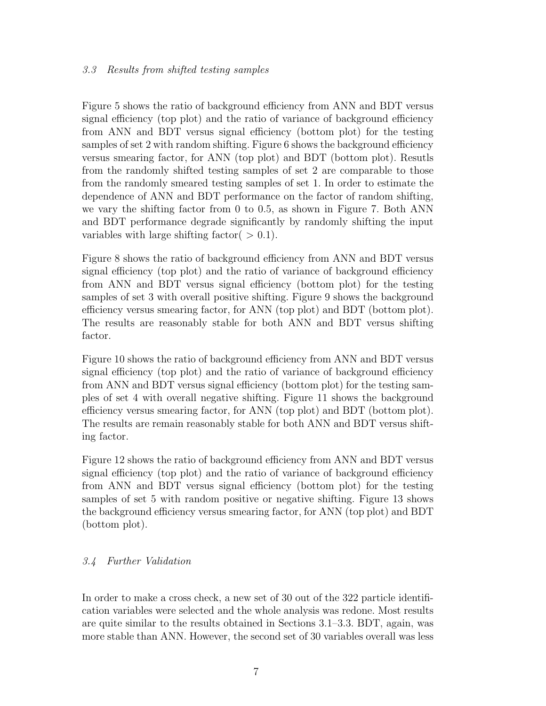# 3.3 Results from shifted testing samples

Figure 5 shows the ratio of background efficiency from ANN and BDT versus signal efficiency (top plot) and the ratio of variance of background efficiency from ANN and BDT versus signal efficiency (bottom plot) for the testing samples of set 2 with random shifting. Figure 6 shows the background efficiency versus smearing factor, for ANN (top plot) and BDT (bottom plot). Resutls from the randomly shifted testing samples of set 2 are comparable to those from the randomly smeared testing samples of set 1. In order to estimate the dependence of ANN and BDT performance on the factor of random shifting, we vary the shifting factor from 0 to 0.5, as shown in Figure 7. Both ANN and BDT performance degrade significantly by randomly shifting the input variables with large shifting factor  $( > 0.1)$ .

Figure 8 shows the ratio of background efficiency from ANN and BDT versus signal efficiency (top plot) and the ratio of variance of background efficiency from ANN and BDT versus signal efficiency (bottom plot) for the testing samples of set 3 with overall positive shifting. Figure 9 shows the background efficiency versus smearing factor, for ANN (top plot) and BDT (bottom plot). The results are reasonably stable for both ANN and BDT versus shifting factor.

Figure 10 shows the ratio of background efficiency from ANN and BDT versus signal efficiency (top plot) and the ratio of variance of background efficiency from ANN and BDT versus signal efficiency (bottom plot) for the testing samples of set 4 with overall negative shifting. Figure 11 shows the background efficiency versus smearing factor, for ANN (top plot) and BDT (bottom plot). The results are remain reasonably stable for both ANN and BDT versus shifting factor.

Figure 12 shows the ratio of background efficiency from ANN and BDT versus signal efficiency (top plot) and the ratio of variance of background efficiency from ANN and BDT versus signal efficiency (bottom plot) for the testing samples of set 5 with random positive or negative shifting. Figure 13 shows the background efficiency versus smearing factor, for ANN (top plot) and BDT (bottom plot).

# 3.4 Further Validation

In order to make a cross check, a new set of 30 out of the 322 particle identification variables were selected and the whole analysis was redone. Most results are quite similar to the results obtained in Sections 3.1–3.3. BDT, again, was more stable than ANN. However, the second set of 30 variables overall was less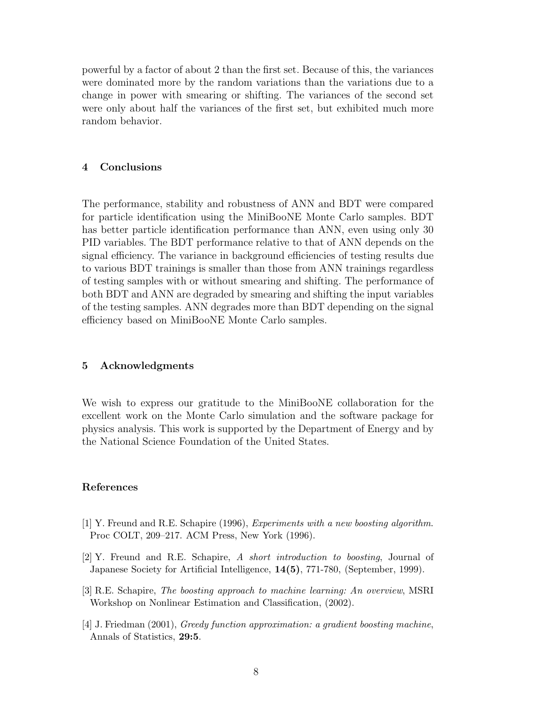powerful by a factor of about 2 than the first set. Because of this, the variances were dominated more by the random variations than the variations due to a change in power with smearing or shifting. The variances of the second set were only about half the variances of the first set, but exhibited much more random behavior.

## 4 Conclusions

The performance, stability and robustness of ANN and BDT were compared for particle identification using the MiniBooNE Monte Carlo samples. BDT has better particle identification performance than ANN, even using only 30 PID variables. The BDT performance relative to that of ANN depends on the signal efficiency. The variance in background efficiencies of testing results due to various BDT trainings is smaller than those from ANN trainings regardless of testing samples with or without smearing and shifting. The performance of both BDT and ANN are degraded by smearing and shifting the input variables of the testing samples. ANN degrades more than BDT depending on the signal efficiency based on MiniBooNE Monte Carlo samples.

## 5 Acknowledgments

We wish to express our gratitude to the MiniBooNE collaboration for the excellent work on the Monte Carlo simulation and the software package for physics analysis. This work is supported by the Department of Energy and by the National Science Foundation of the United States.

## References

- [1] Y. Freund and R.E. Schapire (1996), *Experiments with a new boosting algorithm*. Proc COLT, 209–217. ACM Press, New York (1996).
- [2] Y. Freund and R.E. Schapire, *A short introduction to boosting*, Journal of Japanese Society for Artificial Intelligence, 14(5), 771-780, (September, 1999).
- [3] R.E. Schapire, *The boosting approach to machine learning: An overview*, MSRI Workshop on Nonlinear Estimation and Classification, (2002).
- [4] J. Friedman (2001), *Greedy function approximation: a gradient boosting machine*, Annals of Statistics, 29:5.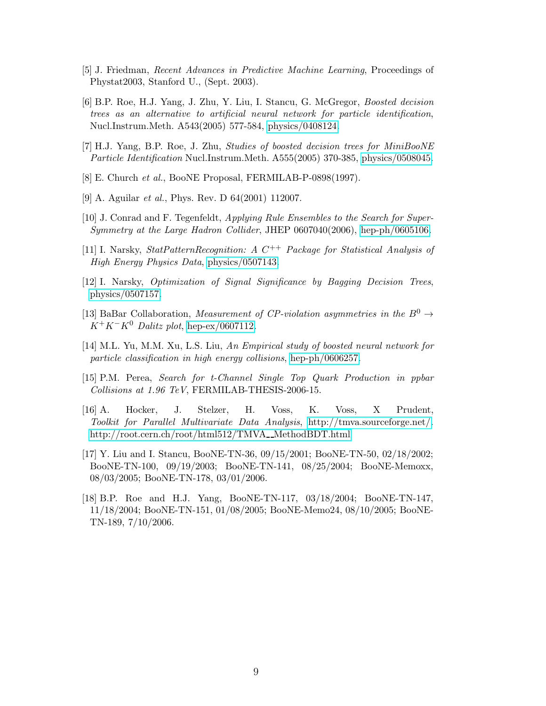- [5] J. Friedman, *Recent Advances in Predictive Machine Learning*, Proceedings of Phystat2003, Stanford U., (Sept. 2003).
- [6] B.P. Roe, H.J. Yang, J. Zhu, Y. Liu, I. Stancu, G. McGregor, *Boosted decision trees as an alternative to artificial neural network for particle identification*, Nucl.Instrum.Meth. A543(2005) 577-584, [physics/0408124.](http://arxiv.org/abs/physics/0408124)
- [7] H.J. Yang, B.P. Roe, J. Zhu, *Studies of boosted decision trees for MiniBooNE Particle Identification* Nucl.Instrum.Meth. A555(2005) 370-385, [physics/0508045.](http://arxiv.org/abs/physics/0508045)
- [8] E. Church *et al.*, BooNE Proposal, FERMILAB-P-0898(1997).
- [9] A. Aguilar *et al.*, Phys. Rev. D 64(2001) 112007.
- [10] J. Conrad and F. Tegenfeldt, *Applying Rule Ensembles to the Search for Super-Symmetry at the Large Hadron Collider*, JHEP 0607040(2006), [hep-ph/0605106.](http://arxiv.org/abs/hep-ph/0605106)
- [11] I. Narsky, *StatPatternRecognition: A C<sup>++</sup> Package for Statistical Analysis of High Energy Physics Data*, [physics/0507143.](http://arxiv.org/abs/physics/0507143)
- [12] I. Narsky, *Optimization of Signal Significance by Bagging Decision Trees*, [physics/0507157.](http://arxiv.org/abs/physics/0507157)
- [13] BaBar Collaboration, *Measurement of CP-violation asymmetries in the*  $B^0 \rightarrow$  $K^+K^-K^0$  *Dalitz plot*, [hep-ex/0607112.](http://arxiv.org/abs/hep-ex/0607112)
- [14] M.L. Yu, M.M. Xu, L.S. Liu, *An Empirical study of boosted neural network for particle classification in high energy collisions*, [hep-ph/0606257.](http://arxiv.org/abs/hep-ph/0606257)
- [15] P.M. Perea, *Search for t-Channel Single Top Quark Production in ppbar Collisions at 1.96 TeV*, FERMILAB-THESIS-2006-15.
- [16] A. Hocker, J. Stelzer, H. Voss, K. Voss, X Prudent, *Toolkit for Parallel Multivariate Data Analysis*, [http://tmva.sourceforge.net/.](http://tmva.sourceforge.net/) [http://root.cern.ch/root/html512/TMVA](http://root.cern.ch/root/html512/TMVA__MethodBDT.html)\_MethodBDT.html
- [17] Y. Liu and I. Stancu, BooNE-TN-36, 09/15/2001; BooNE-TN-50, 02/18/2002; BooNE-TN-100, 09/19/2003; BooNE-TN-141, 08/25/2004; BooNE-Memoxx, 08/03/2005; BooNE-TN-178, 03/01/2006.
- [18] B.P. Roe and H.J. Yang, BooNE-TN-117, 03/18/2004; BooNE-TN-147, 11/18/2004; BooNE-TN-151, 01/08/2005; BooNE-Memo24, 08/10/2005; BooNE-TN-189, 7/10/2006.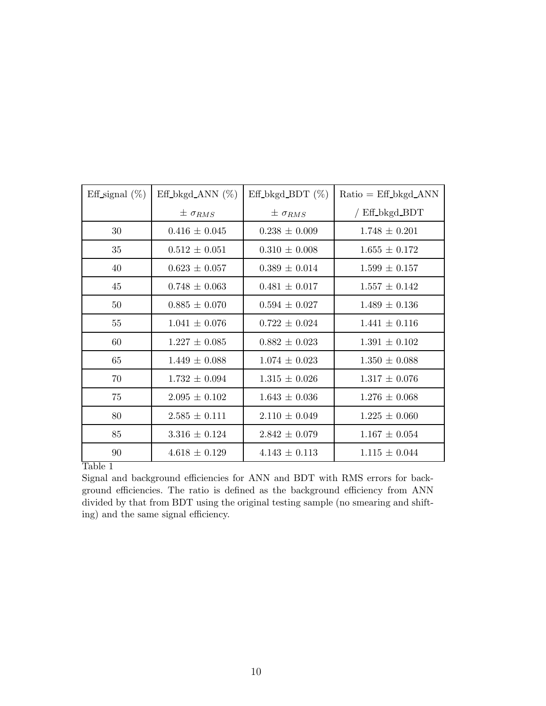| Eff signal $(\%)$ | $Eff_bkgd_ANN$ (%) | Eff_bkgd_BDT $(\%)$ | $Ratio = Eff_bkgd_ANN$ |
|-------------------|--------------------|---------------------|------------------------|
|                   | $\pm \sigma_{RMS}$ | $\pm \sigma_{RMS}$  | / Eff_bkgd_BDT         |
| 30                | $0.416 \pm 0.045$  | $0.238 \pm 0.009$   | $1.748 \pm 0.201$      |
| 35                | $0.512 \pm 0.051$  | $0.310 \pm 0.008$   | $1.655 \pm 0.172$      |
| 40                | $0.623 \pm 0.057$  | $0.389 \pm 0.014$   | $1.599 \pm 0.157$      |
| 45                | $0.748 \pm 0.063$  | $0.481 \pm 0.017$   | $1.557 \pm 0.142$      |
| 50                | $0.885 \pm 0.070$  | $0.594 \pm 0.027$   | $1.489 \pm 0.136$      |
| 55                | $1.041 \pm 0.076$  | $0.722 \pm 0.024$   | $1.441 \pm 0.116$      |
| 60                | $1.227 \pm 0.085$  | $0.882 \pm 0.023$   | $1.391 \pm 0.102$      |
| 65                | $1.449 \pm 0.088$  | $1.074 \pm 0.023$   | $1.350 \pm 0.088$      |
| 70                | $1.732 \pm 0.094$  | $1.315 \pm 0.026$   | $1.317 \pm 0.076$      |
| 75                | $2.095 \pm 0.102$  | $1.643 \pm 0.036$   | $1.276 \pm 0.068$      |
| 80                | $2.585 \pm 0.111$  | $2.110 \pm 0.049$   | $1.225 \pm 0.060$      |
| 85                | $3.316 \pm 0.124$  | $2.842 \pm 0.079$   | $1.167 \pm 0.054$      |
| 90                | $4.618 \pm 0.129$  | $4.143 \pm 0.113$   | $1.115 \pm 0.044$      |

Table 1

Signal and background efficiencies for ANN and BDT with RMS errors for background efficiencies. The ratio is defined as the background efficiency from ANN divided by that from BDT using the original testing sample (no smearing and shifting) and the same signal efficiency.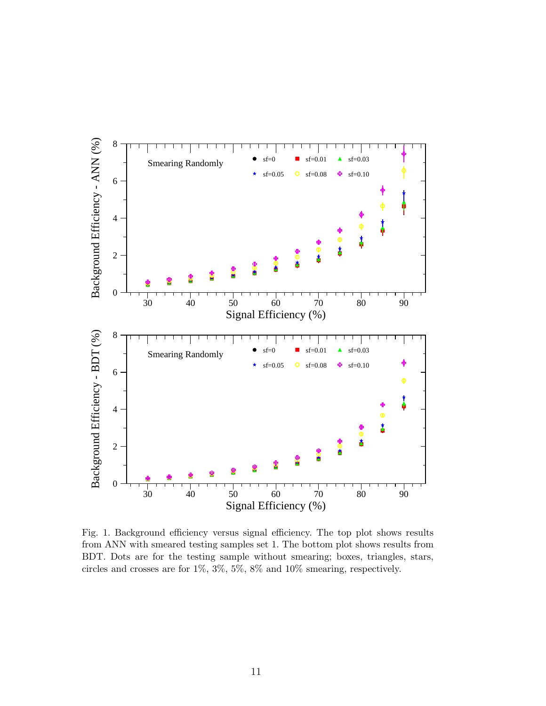

Fig. 1. Background efficiency versus signal efficiency. The top plot shows results from ANN with smeared testing samples set 1. The bottom plot shows results from BDT. Dots are for the testing sample without smearing; boxes, triangles, stars, circles and crosses are for 1%, 3%, 5%, 8% and 10% smearing, respectively.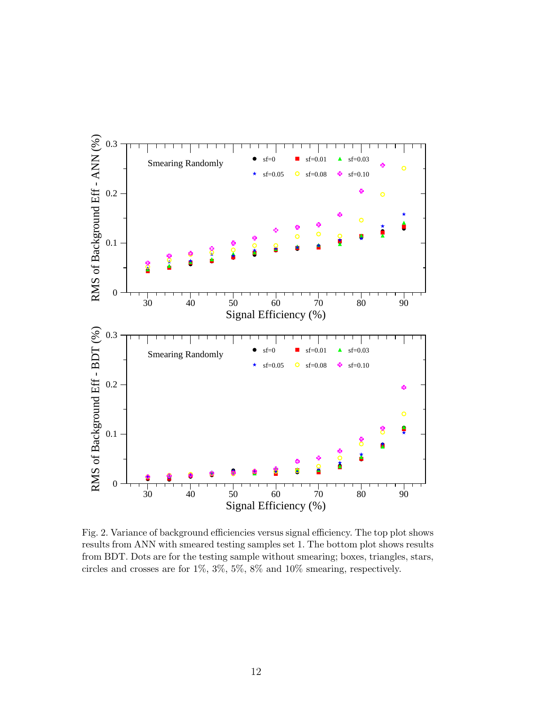

Fig. 2. Variance of background efficiencies versus signal efficiency. The top plot shows results from ANN with smeared testing samples set 1. The bottom plot shows results from BDT. Dots are for the testing sample without smearing; boxes, triangles, stars, circles and crosses are for 1%, 3%, 5%, 8% and 10% smearing, respectively.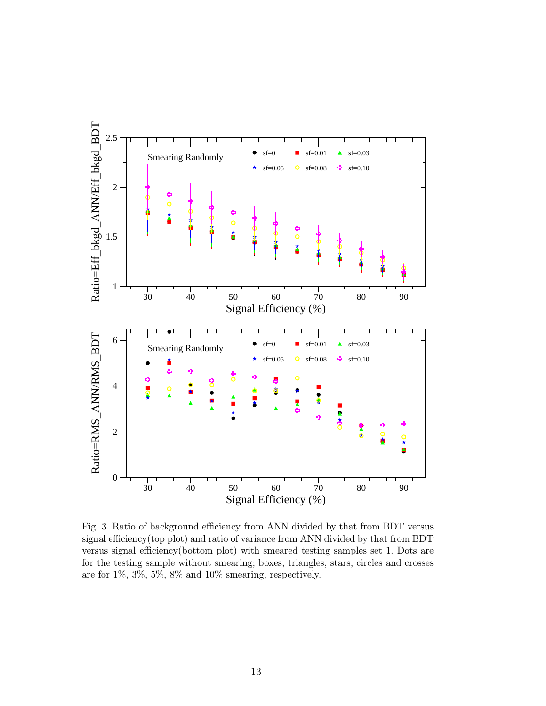

Fig. 3. Ratio of background efficiency from ANN divided by that from BDT versus signal efficiency(top plot) and ratio of variance from ANN divided by that from BDT versus signal efficiency(bottom plot) with smeared testing samples set 1. Dots are for the testing sample without smearing; boxes, triangles, stars, circles and crosses are for 1%, 3%, 5%, 8% and 10% smearing, respectively.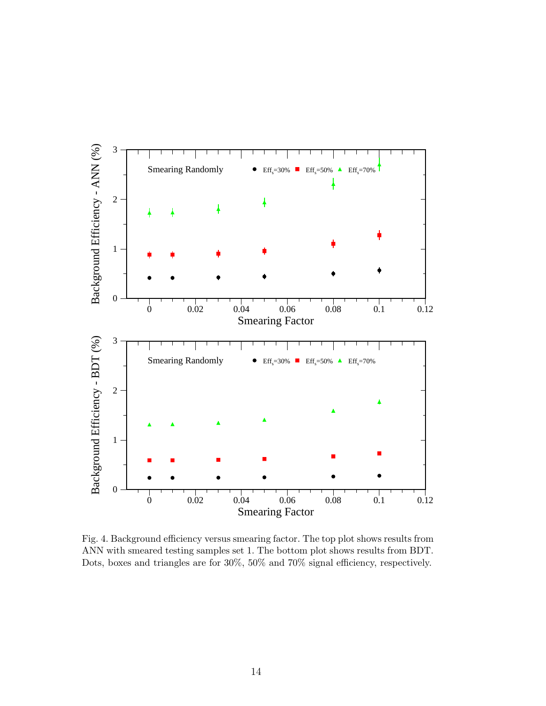

Fig. 4. Background efficiency versus smearing factor. The top plot shows results from ANN with smeared testing samples set 1. The bottom plot shows results from BDT. Dots, boxes and triangles are for 30%, 50% and 70% signal efficiency, respectively.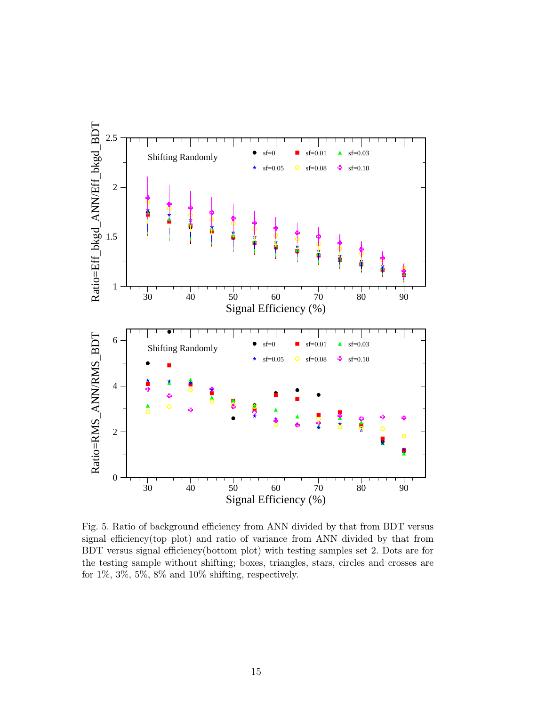

Fig. 5. Ratio of background efficiency from ANN divided by that from BDT versus signal efficiency(top plot) and ratio of variance from ANN divided by that from BDT versus signal efficiency(bottom plot) with testing samples set 2. Dots are for the testing sample without shifting; boxes, triangles, stars, circles and crosses are for  $1\%, 3\%, 5\%, 8\%$  and  $10\%$  shifting, respectively.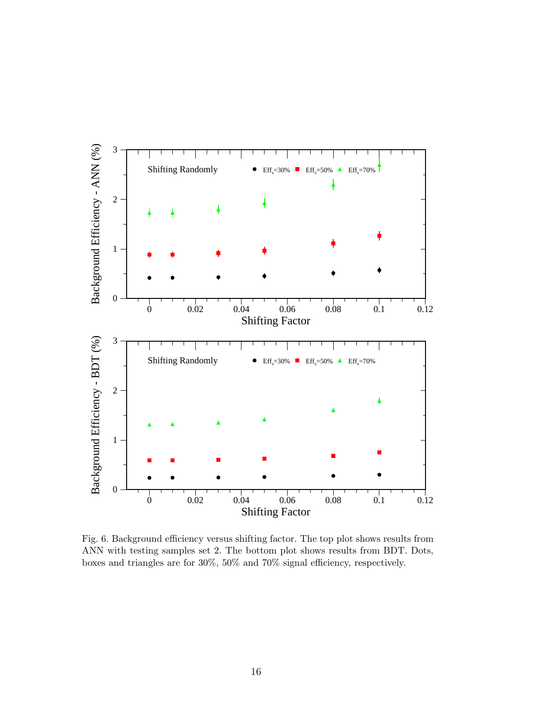

Fig. 6. Background efficiency versus shifting factor. The top plot shows results from ANN with testing samples set 2. The bottom plot shows results from BDT. Dots, boxes and triangles are for 30%, 50% and 70% signal efficiency, respectively.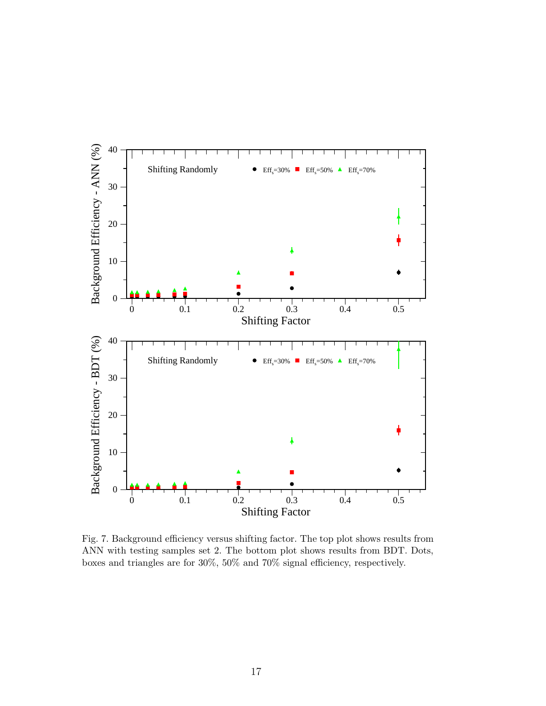

Fig. 7. Background efficiency versus shifting factor. The top plot shows results from ANN with testing samples set 2. The bottom plot shows results from BDT. Dots, boxes and triangles are for 30%, 50% and 70% signal efficiency, respectively.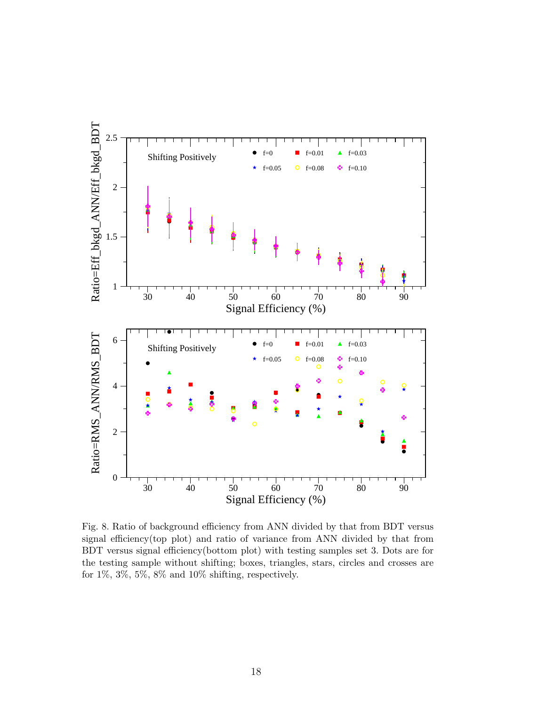

Fig. 8. Ratio of background efficiency from ANN divided by that from BDT versus signal efficiency(top plot) and ratio of variance from ANN divided by that from BDT versus signal efficiency(bottom plot) with testing samples set 3. Dots are for the testing sample without shifting; boxes, triangles, stars, circles and crosses are for  $1\%, 3\%, 5\%, 8\%$  and  $10\%$  shifting, respectively.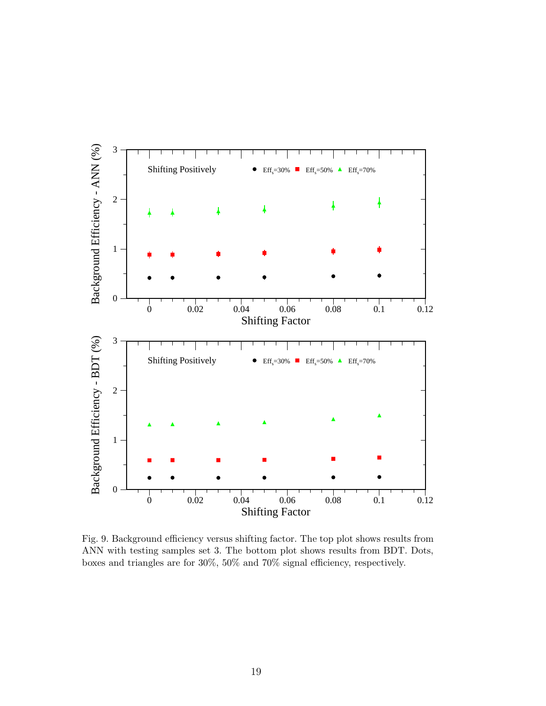

Fig. 9. Background efficiency versus shifting factor. The top plot shows results from ANN with testing samples set 3. The bottom plot shows results from BDT. Dots, boxes and triangles are for 30%, 50% and 70% signal efficiency, respectively.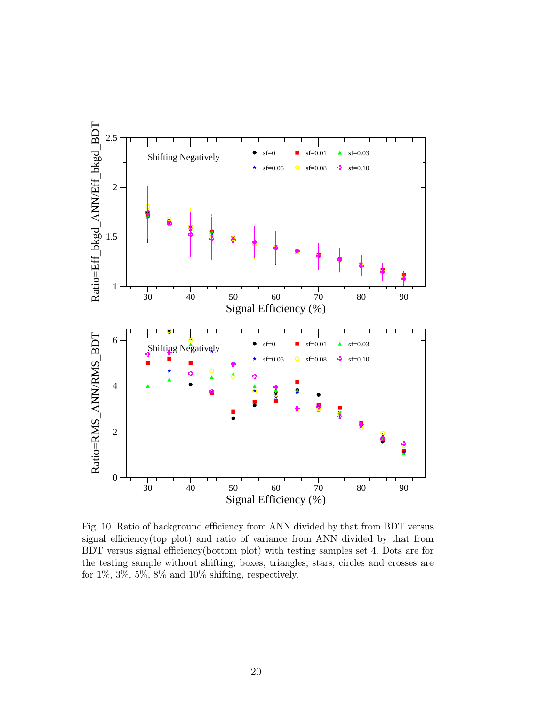

Fig. 10. Ratio of background efficiency from ANN divided by that from BDT versus signal efficiency(top plot) and ratio of variance from ANN divided by that from BDT versus signal efficiency(bottom plot) with testing samples set 4. Dots are for the testing sample without shifting; boxes, triangles, stars, circles and crosses are for  $1\%, 3\%, 5\%, 8\%$  and  $10\%$  shifting, respectively.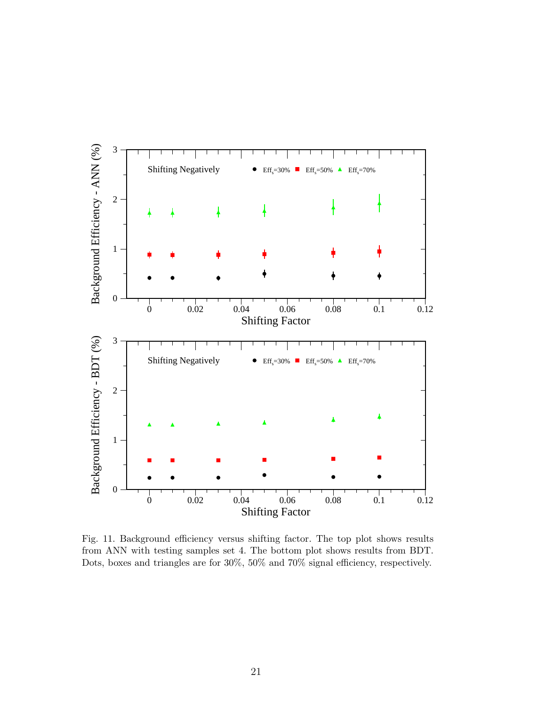

Fig. 11. Background efficiency versus shifting factor. The top plot shows results from ANN with testing samples set 4. The bottom plot shows results from BDT. Dots, boxes and triangles are for 30%, 50% and 70% signal efficiency, respectively.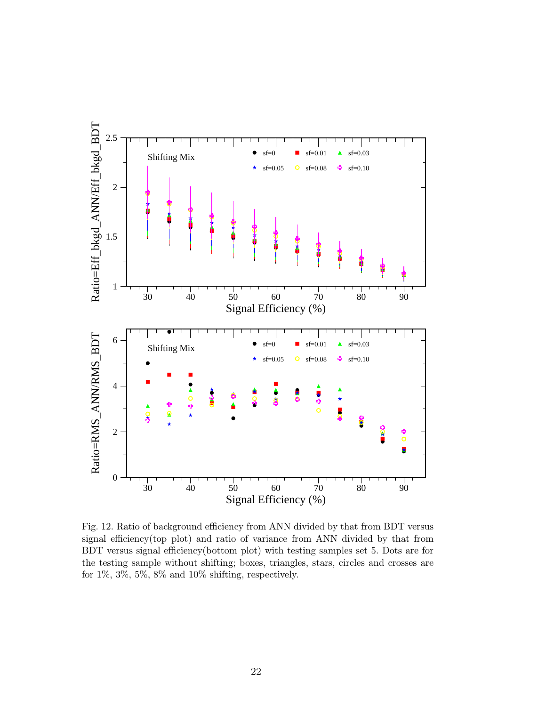

Fig. 12. Ratio of background efficiency from ANN divided by that from BDT versus signal efficiency(top plot) and ratio of variance from ANN divided by that from BDT versus signal efficiency(bottom plot) with testing samples set 5. Dots are for the testing sample without shifting; boxes, triangles, stars, circles and crosses are for  $1\%, 3\%, 5\%, 8\%$  and  $10\%$  shifting, respectively.